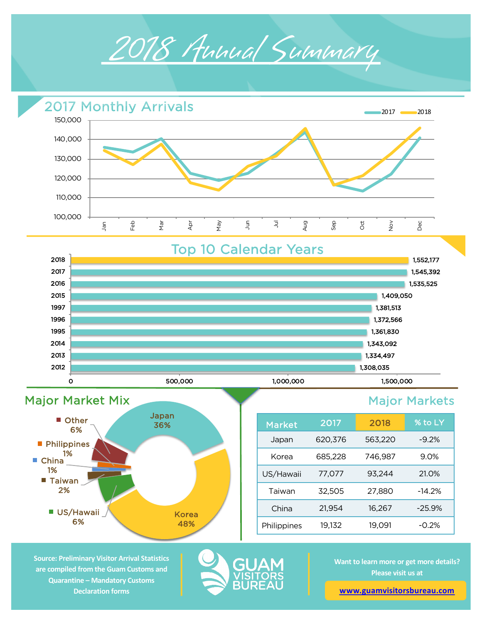



Top 10 Calendar Years





| <b>Market</b> | 2017    | 2018    | % to LY  |
|---------------|---------|---------|----------|
| Japan         | 620,376 | 563,220 | $-9.2%$  |
| Korea         | 685,228 | 746,987 | 9.0%     |
| US/Hawaii     | 77,077  | 93,244  | 21.0%    |
| Taiwan        | 32,505  | 27,880  | $-14.2%$ |
| China         | 21,954  | 16,267  | $-25.9%$ |
| Philippines   | 19,132  | 19,091  | $-0.2%$  |

**Source: Preliminary Visitor Arrival Statistics are compiled from the Guam Customs and Quarantine – Mandatory Customs Declaration forms** 



**Want to learn more or get more details? Please visit us at** 

**[www.guamvisitorsbureau.co](https://www.guamvisitorsbureau.com/research-and-reports/research)m**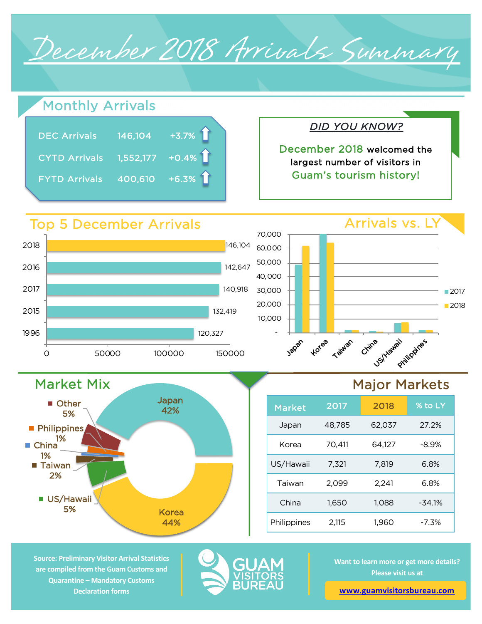December 2018 Arrivals Summary

# Monthly Arrivals

| <b>DEC Arrivals</b>           | $\overline{)146,104}$ +3.7% |
|-------------------------------|-----------------------------|
| CYTD Arrivals 1,552,177 +0.4% |                             |
| <b>FYTD Arrivals</b>          | $\overline{)400,610}$ +6.3% |

Japan 42%

Korea 44%

# *DID YOU KNOW?*

December 2018 welcomed the largest number of visitors in Guam's tourism history!

### Arrivals vs. LY 120,327 132,419 140,918 142,647 146,104 0 50000 100000 150000 1996 2015 2017 2016 2018 Top 5 December Arrivals - 10,000 20,000 30,000 40,000 50,000 60,000 70,000 Japan Korea Taiwan China US/Yawaii Philippines ■2017 ■2018

## Major Markets

| <b>Market</b> | 2017   | 2018   | % to LY  |
|---------------|--------|--------|----------|
| Japan         | 48,785 | 62,037 | 27.2%    |
| Korea         | 70,411 | 64.127 | $-8.9\%$ |
| US/Hawaii     | 7.321  | 7.819  | 6.8%     |
| Taiwan        | 2,099  | 2,241  | 6.8%     |
| China         | 1,650  | 1,088  | $-34.1%$ |
| Philippines   | 2,115  | 1,960  | $-7.3%$  |

**Source: Preliminary Visitor Arrival Statistics are compiled from the Guam Customs and Quarantine – Mandatory Customs Declaration forms** 

Market Mix

**Other** 5%

**US/Hawaii** 5%

■ Taiwan 2%

**Philippines** 1%

 $\blacksquare$  China 1%



**Want to learn more or get more details? Please visit us at** 

**[www.guamvisitorsbureau.co](https://www.guamvisitorsbureau.com/research-and-reports/research)m**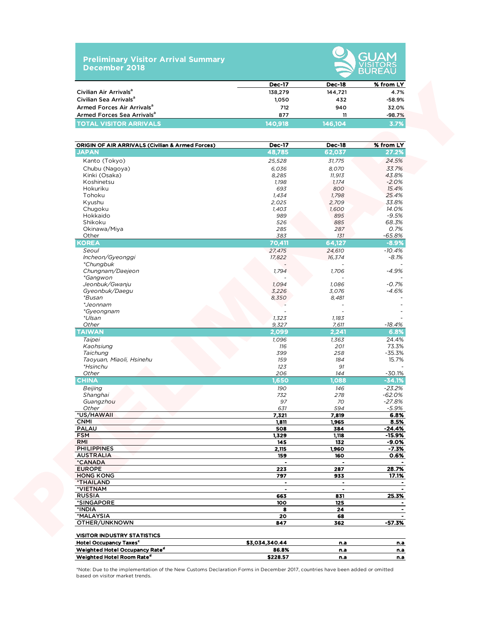### **Preliminary Visitor Arrival Summary December 2018**



|                                        | <b>Dec-17</b> | <b>Dec-18</b> | % from LY |
|----------------------------------------|---------------|---------------|-----------|
| Civilian Air Arrivals <sup>a</sup>     | 138,279       | 144.721       | 4.7%      |
| Civilian Sea Arrivals <sup>a</sup>     | 1.050         | 432           | -58.9%    |
| Armed Forces Air Arrivals <sup>a</sup> | 712           | 940           | 32.0%     |
| Armed Forces Sea Arrivals <sup>a</sup> | 877           |               | $-98.7%$  |
| <b>TOTAL VISITOR ARRIVALS</b>          | 140.918       | 146.104       | 3.7%      |

|                                                  | <b>Dec-17</b>        | <b>Dec-18</b>        | % from LY                 |
|--------------------------------------------------|----------------------|----------------------|---------------------------|
| Civilian Air Arrivals <sup>a</sup>               | 138,279              | 144,721              | 4.7%                      |
| Civilian Sea Arrivals <sup>a</sup>               | 1,050                | 432                  | $-58.9%$                  |
| Armed Forces Air Arrivals <sup>a</sup>           | 712                  | 940                  | 32.0%                     |
| Armed Forces Sea Arrivals <sup>a</sup>           | 877                  | 11                   | $-98.7%$                  |
| <b>TOTAL VISITOR ARRIVALS</b>                    | 140,918              | 146,104              | 3.7%                      |
|                                                  |                      |                      |                           |
| ORIGIN OF AIR ARRIVALS (Civilian & Armed Forces) | <b>Dec-17</b>        | <b>Dec-18</b>        | % from LY                 |
| <b>JAPAN</b>                                     | 48,785               | 62,037               | 27.2%                     |
| Kanto (Tokyo)                                    | 25,528               | 31,775               | 24.5%                     |
| Chubu (Nagoya)                                   | 6,036                | 8,070                | 33.7%                     |
| Kinki (Osaka)                                    | 8,285                | 11,913               | 43.8%                     |
| Koshinetsu                                       | 1,198                | 1,174                | $-2.0%$                   |
| Hokuriku                                         | 693                  | 800                  | 15.4%                     |
| Tohoku                                           | 1,434                | 1,798                | 25.4%                     |
| Kyushu                                           | 2,025                | 2,709                | 33.8%                     |
| Chugoku                                          | 1,403                | 1,600                | 14.0%                     |
| Hokkaido                                         | 989                  | 895                  | $-9.5%$                   |
| Shikoku                                          | 526                  | 885                  | 68.3%                     |
| Okinawa/Miya                                     | 285                  | 287                  | 0.7%                      |
| Other                                            | 383                  | 131                  | -65.8%                    |
| <b>KOREA</b>                                     | 70.411               | 64,127               | $-8.9%$                   |
| Seoul                                            | 27,475               | 24,610               | $-10.4%$                  |
| Incheon/Gyeonggi<br><i>*Chungbuk</i>             | 17,822               | 16,374               | $-8.1%$                   |
| Chungnam/Daejeon<br><i>*Gangwon</i>              | 1,794                | 1,706                | $-4.9%$                   |
| Jeonbuk/Gwanju                                   | 1,094                | 1,086                | $-0.7%$                   |
| Gyeonbuk/Daegu                                   | 3,226                | 3,076                | $-4.6%$                   |
| *Busan                                           | 8,350                | 8,481                |                           |
| *Jeonnam                                         |                      |                      |                           |
| *Gyeongnam                                       |                      |                      |                           |
| *Ulsan                                           | 1,323                | 1,183                |                           |
| Other                                            | 9,327                | 7,611                | -18.4%                    |
| <b>TAIWAN</b>                                    | 2,099                | 2,241                | 6.8%                      |
| Taipei                                           | 1,096                | 1,363                | 24.4%                     |
| Kaohsiung                                        | 116                  | 201                  | 73.3%                     |
| Taichung                                         | 399                  | 258                  | $-35.3%$                  |
| Taoyuan, Miaoli, Hsinehu                         | 159                  | 184                  | 15.7%                     |
| *Hsinchu                                         | 123                  | 91                   |                           |
| Other                                            | 206                  | 144                  | $-30.1%$                  |
| <b>CHINA</b>                                     | 1,650                | 1,088                | $-34.1%$                  |
| Beijing                                          | 190                  | 146                  | $-23.2%$                  |
| Shanghai                                         | 732                  | 278                  | $-62.0%$                  |
| Guangzhou                                        | 97                   | 70                   | $-27.8%$                  |
| Other                                            | 631                  | 594                  | $-5.9%$                   |
| *US/HAWAII                                       | 7,321                | 7,819                | 6.8%                      |
| <b>CNMI</b><br><b>PALAU</b>                      | 1,811                | 1,965                | 8.5%                      |
|                                                  | 508                  | 384                  | -24.4%                    |
| FSM<br>RMI                                       | <u>1,329 </u><br>145 | <u>1,118 </u><br>132 | <u>-15.9% </u><br>$-9.0%$ |
| <b>PHILIPPINES</b>                               | 2,115                | 1,960                | $-7.3%$                   |
| <b>AUSTRALIA</b>                                 | 159                  | 160                  | 0.6%                      |
| *CANADA                                          | $\bullet$            | $\sim$               |                           |
| <b>EUROPE</b>                                    | 223                  | 287                  | 28.7%                     |
| <b>HONG KONG</b>                                 | 797                  | 933                  | 17.1%                     |
| *THAILAND                                        | $\blacksquare$       | $\blacksquare$       |                           |
| *VIETNAM                                         | $\blacksquare$       | $\bullet$            |                           |
| <b>RUSSIA</b>                                    | 663                  | 831                  | 25.3%                     |
| *SINGAPORE                                       | 100                  | 125                  |                           |
| *INDIA                                           | 8                    | 24                   |                           |
| *MALAYSIA                                        | 20                   | 68                   |                           |
| OTHER/UNKNOWN                                    | 847                  | 362                  | $-57.3%$                  |
| <b>VISITOR INDUSTRY STATISTICS</b>               |                      |                      |                           |
|                                                  |                      |                      |                           |
| <b>Hotel Occupancy Taxes<sup>c</sup></b>         | \$3,034,340.44       | n.a                  | n.a                       |
| Weighted Hotel Occupancy Rate <sup>d</sup>       | 86.8%                | n.a                  | <u>n.a</u>                |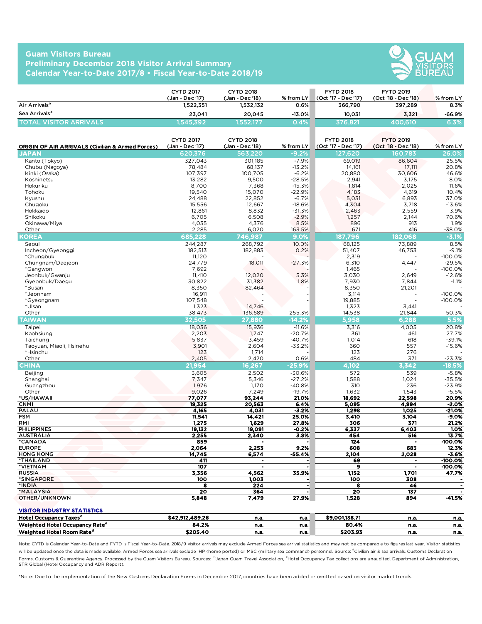### **Guam Visitors Bureau Preliminary December 2018 Visitor Arrival Summary Calendar Year-to-Date 2017/8 • Fiscal Year-to-Date 2018/19**



|                               | <b>CYTD 2017</b><br>(Jan - Dec '17) | CYTD 2018<br>(Jan - Dec '18) | $%$ from LY | <b>FYTD 2018</b><br>(Oct '17 - Dec '17) | <b>FYTD 2019</b><br>(Oct '18 - Dec '18) | % from LY |          |
|-------------------------------|-------------------------------------|------------------------------|-------------|-----------------------------------------|-----------------------------------------|-----------|----------|
| Air Arrivals <sup>a</sup>     | 1.522.351                           | 1,532,132                    | $0.6\%$     | 366,790                                 | 397.289                                 |           | 8.3%     |
| Sea Arrivals <sup>a</sup>     | 23.041                              | 20.045                       | $-13.0%$    | 10.031                                  | 3.321                                   |           | $-66.9%$ |
| <b>TOTAL VISITOR ARRIVALS</b> | 1,545,392'                          | 1,552,177                    | 0.4%        | 376.821                                 | 400.610                                 |           | 6.3%     |

|                                                                                | <b>CYTD 2017</b><br>(Jan - Dec '17) | <b>CYTD 2018</b><br>(Jan - Dec '18) | % from LY           | <b>FYTD 2018</b><br>(Oct '17 - Dec '17) | <b>FYTD 2019</b><br>(Oct '18 - Dec '18) | % from LY             |
|--------------------------------------------------------------------------------|-------------------------------------|-------------------------------------|---------------------|-----------------------------------------|-----------------------------------------|-----------------------|
| Air Arrivals <sup>a</sup>                                                      | 1.522.351                           | 1,532,132                           | 0.6%                | 366,790                                 | 397,289                                 | 8.3%                  |
| Sea Arrivals <sup>a</sup>                                                      | 23,041                              | 20,045                              | $-13.0%$            | 10,031                                  | 3,321                                   | -66.9%                |
| <b>TOTAL VISITOR ARRIVALS</b>                                                  | 1.545.392                           | 1,552,177                           | 0.4%                | 376.821                                 | 400,610                                 | 6.3%                  |
| <b>ORIGIN OF AIR ARRIVALS (Civilian &amp; Armed Forces)</b>                    | <b>CYTD 2017</b><br>(Jan - Dec '17) | <b>CYTD 2018</b><br>(Jan - Dec '18) | % from $LY$         | <b>FYTD 2018</b><br>(Oct '17 - Dec '17) | <b>FYTD 2019</b><br>(Oct '18 - Dec '18) | % from LY             |
| <b>JAPAN</b>                                                                   | 620,376                             | 563,220                             | $-9.2%$             | 127,620                                 | 160,783                                 | 26.0%                 |
| Kanto (Tokyo)                                                                  | 327,043                             | 301.185                             | $-7.9%$             | 69,019                                  | 86,604                                  | 25.5%                 |
| Chubu (Nagoya)                                                                 | 78,484                              | 68,137                              | $-13.2%$            | 14,161                                  | 17,111                                  | 20.8%                 |
| Kinki (Osaka)<br>Koshinetsu                                                    | 107,397<br>13,282                   | 100,705<br>9,500                    | $-6.2%$<br>$-28.5%$ | 20,880<br>2,941                         | 30,606<br>3,175                         | 46.6%<br>8.0%         |
| Hokuriku                                                                       | 8,700                               | 7,368                               | $-15.3%$            | 1,814                                   | 2,025                                   | 11.6%                 |
| Tohoku                                                                         | 19,540                              | 15,070                              | $-22.9%$            | 4,183                                   | 4,619                                   | 10.4%                 |
| Kyushu                                                                         | 24,488                              | 22,852                              | $-6.7%$             | 5,031                                   | 6,893                                   | 37.0%                 |
| Chugoku                                                                        | 15,556                              | 12,667                              | $-18.6%$            | 4,304                                   | 3,718                                   | $-13.6%$              |
| Hokkaido<br>Shikoku                                                            | 12,861<br>6,705                     | 8,832<br>6,508                      | $-31.3%$<br>$-2.9%$ | 2,463<br>1,257                          | 2,559<br>2,144                          | 3.9%<br>70.6%         |
| Okinawa/Miya                                                                   | 4,035                               | 4,376                               | 8.5%                | 896                                     | 913                                     | 1.9%                  |
| Other                                                                          | 2,285                               | 6,020                               | 163.5%              | 671                                     | 416                                     | $-38.0%$              |
| <b>COREA</b>                                                                   | 685,228                             | 746,987                             | 9.0%                | 187,796                                 | 182.068                                 | $-3.1%$               |
| Seoul                                                                          | 244,287                             | 268,792                             | 10.0%               | 68,125                                  | 73,889                                  | 8.5%                  |
| Incheon/Gyeonggi                                                               | 182,513                             | 182,883                             | 0.2%                | 51,407                                  | 46,753                                  | $-9.1%$               |
| *Chungbuk                                                                      | 11,120                              |                                     |                     | 2,319                                   |                                         | $-100.0%$             |
| Chungnam/Daejeon<br>*Gangwon                                                   | 24,779<br>7,692                     | 18,011                              | $-27.3%$            | 6,310<br>1,465                          | 4,447                                   | $-29.5%$<br>$-100.0%$ |
| Jeonbuk/Gwanju                                                                 | 11,410                              | 12,020                              | 5.3%                | 3,030                                   | 2,649                                   | $-12.6%$              |
| Gveonbuk/Daegu                                                                 | 30,822                              | 31,382                              | 1.8%                | 7,930                                   | 7,844                                   | $-1.1%$               |
| *Busan                                                                         | 8,350                               | 82,464                              |                     | 8,350                                   | 21,201                                  |                       |
| *Jeonnam                                                                       | 16,911                              |                                     |                     | 3,114                                   |                                         | $-100.0%$             |
| *Gyeongnam<br>*Ulsan                                                           | 107,548<br>1,323                    | 14,746                              |                     | 19,885<br>1,323                         | 3,441                                   | $-100.0%$             |
| Other                                                                          | 38,473                              | 136,689                             | 255.3%              | 14,538                                  | 21,844                                  | 50.3%                 |
| <b>TAIWAN</b>                                                                  | 32.505                              | 27,880                              | $-14.2%$            | 5,958                                   | 6.288                                   | 5.5%                  |
| Taipei                                                                         | 18,036                              | 15,936                              | $-11.6%$            | 3,316                                   | 4,005                                   | 20.8%                 |
| Kaohsiung                                                                      | 2,203                               | 1,747                               | $-20.7%$            | 361                                     | 461                                     | 27.7%                 |
| Taichung                                                                       | 5,837                               | 3,459                               | $-40.7%$            | 1,014                                   | 618                                     | $-39.1%$              |
| Taoyuan, Miaoli, Hsinehu                                                       | 3,901                               | 2,604                               | $-33.2%$            | 660                                     | 557                                     | $-15.6%$              |
| *Hsinchu<br>Other                                                              | 123<br>2,405                        | 1,714<br>2,420                      | 0.6%                | 123<br>484                              | 276<br>371                              | $-23.3%$              |
| CHINA                                                                          | 21,954                              | 16,267                              | $-25.9%$            | 4.102                                   | 3,342                                   | $-18.5%$              |
| Beijing                                                                        | 3,605                               | 2,502                               | $-30.6%$            | 572                                     | 539                                     | $-5.8%$               |
| Shanghai                                                                       | 7,347                               | 5,346                               | $-27.2%$            | 1,588                                   | 1,024                                   | $-35.5%$              |
| Guangzhou                                                                      | 1,976                               | 1,170                               | $-40.8%$            | 310                                     | 236                                     | $-23.9%$              |
| Other                                                                          | 9,026                               | 7,249                               | $-19.7%$            | 1,632                                   | 1,543                                   | $-5.5%$               |
| *US/HAWAII<br><b>CNMI</b>                                                      | 77,077<br>19,325                    | 93.244<br>20,563                    | 21.0%<br>6.4%       | 18,692<br>5,095                         | 22,598<br>4,994                         | 20.9%<br>$-2.0%$      |
| PALAU                                                                          | 4,165                               | 4,031                               | $-3.2%$             | 1,298                                   | 1,025                                   | -21.0%                |
| <b>FSM</b>                                                                     | 11,541                              | 14,421                              | 25.0%               | 3,410                                   | 3,104                                   | $-9.0%$               |
| RMI                                                                            | 1,275                               | 1,629                               | 27.8%               | 306                                     | 371                                     | 21.2%                 |
| <b>PHILIPPINES</b>                                                             | 19,132                              | 19,091                              | $-0.2%$             | 6,337                                   | 6,403                                   | 1.0%                  |
| <b>AUSTRALIA</b><br>*CANADA                                                    | 2,255<br>859                        | <u>2,340</u>                        | <u>3.8%</u>         | 454<br>124                              | 516                                     | 13.7%<br>-100.0%      |
| <b>EUROPE</b>                                                                  | 2,064                               | 2,253                               | 9.2%                | 608                                     | 683                                     | 12.3%                 |
| <b>HONG KONG</b>                                                               | 14,745                              | 6,574                               | -55.4%              | 2,104                                   | 2,028                                   | $-3.6%$               |
| *THAILAND                                                                      | 411                                 |                                     | $\bullet$           | 69                                      |                                         | $-100.0%$             |
| *VIETNAM                                                                       | 107                                 | $\blacksquare$                      | $\blacksquare$      | 9                                       |                                         | -100.0%               |
| <b>RUSSIA</b><br>*SINGAPORE                                                    | 3,356<br>100                        | 4,562<br>1,003                      | 35.9%               | 1,152<br>100                            | 1,701<br>308                            | 47.7%                 |
| *INDIA                                                                         | 8                                   | 224                                 | $\bullet$           | 8                                       | 46                                      |                       |
| *MALAYSIA                                                                      | 20                                  | 364                                 | $\cdot$             | 20                                      | 137                                     |                       |
| OTHER/UNKNOWN                                                                  | 5,848                               | 7,479                               | 27.9%               | 1,528                                   | 894                                     | -41.5%                |
|                                                                                |                                     |                                     |                     |                                         |                                         |                       |
| <b>VISITOR INDUSTRY STATISTICS</b><br><b>Hotel Occupancy Taxes<sup>c</sup></b> | \$42,912,489.26                     | n.a.                                | n.a.                | \$9,001,138.71                          | n.a.                                    | n.a.                  |
| Weighted Hotel Occupancy Rate <sup>d</sup>                                     | 84.2%                               | n.a.                                | n.a.                | 80.4%                                   | n.a.                                    | n.a.                  |
| Weighted Hotel Room Rate <sup>d</sup>                                          | \$205.40                            | n.a.                                | n.a.                | \$203.93                                | n.a.                                    | n.a.                  |
|                                                                                |                                     |                                     |                     |                                         |                                         |                       |

| <b>Hotel Occupancy Taxes<sup>c</sup></b>   | \$42,912,489.26 | n.a  | n.a. | \$9.001.138.71            | n.a | n.a. |
|--------------------------------------------|-----------------|------|------|---------------------------|-----|------|
| Weighted Hotel Occupancy Rate <sup>d</sup> | 84.2%           | n.a  | n.a. | 80.4%                     | n.a | n.a. |
| Weighted Hotel Room Rate <sup>d</sup>      | \$205.40        | n.a. | n.a. | <b>4207.07</b><br>るくひつ。うこ | n.a | n.a. |

Note: CYTD is Calendar Year-to-Date and FYTD is Fiscal Year-to-Date. 2018/9 visitor arrivals may exclude Armed Forces sea arrival statistics and may not be comparable to figures last year. Visitor statistics will be updated once the data is made available. Armed Forces sea arrivals exclude HP (home ported) or MSC (military sea command) personnel. Source: <sup>a</sup>Civilian air & sea arrivals. Customs Declaration Forms, Customs & Quarantine Agency. Processed by the Guam Visitors Bureau. Sources: 『Japan Guam Travel Association, <sup>C</sup>Hotel Occupancy Tax collections are unaudited. Department of Administration, STR Global (Hotel Occupancy and ADR Report).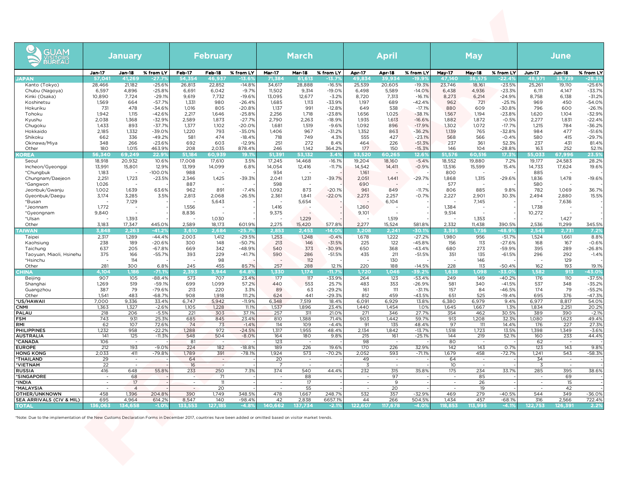| <b>GUAM</b><br>VISITORS<br>BUREAU         | <b>January</b>   |                                   |                      | <b>February</b>  |                          |                      | <b>March</b>     |                          |                      | <b>April</b>             |                  |                              | <b>May</b>       |                          |                      | <b>June</b>      |                          |                      |
|-------------------------------------------|------------------|-----------------------------------|----------------------|------------------|--------------------------|----------------------|------------------|--------------------------|----------------------|--------------------------|------------------|------------------------------|------------------|--------------------------|----------------------|------------------|--------------------------|----------------------|
|                                           | <b>Jan-17</b>    | Jan-18                            | % from LY            | <b>Feb-17</b>    | Feb-18                   | % from LY            | <b>Mar-17</b>    | <b>Mar-18</b>            | % from LY            | <b>Apr-17</b>            | Apr-18           | % from LY                    | <b>May-17</b>    | <b>May-18</b>            | % from LY            | Jun-17           | <b>Jun-18</b>            | % from LY            |
| <b>JAPAN</b>                              | 57,041<br>28,466 | 41,269<br>21,182                  | $-27.7$<br>$-25.6%$  | 54,354<br>26,813 | 46,937<br>22,852         | -13.69<br>$-14.8%$   | 71,384<br>34,617 | 61.613<br>28,888         | $-13.7$<br>$-16.5%$  | 49,834<br>25,539         | 39,934<br>20,605 | -19.99<br>$-19.3%$           | 47,140<br>23,746 | 36,575                   | $-22.4%$<br>$-23.5%$ | 48,97            | 35,739<br>19,110         | $-28.39$<br>$-25.6%$ |
| Kanto (Tokyo)<br>Chubu (Nagoya)           | 6,597            | 4,896                             | $-25.8%$             | 6,691            | 6,042                    | $-9.7%$              | 11,502           | 9,314                    | $-19.0%$             | 6,498                    | 5,589            | $-14.0%$                     | 6,438            | 18,161<br>4,936          | $-23.3%$             | 25,261<br>6,111  | 4,147                    | $-33.7%$             |
| Kinki (Osaka)                             | 10,890           | 7,724                             | $-29.1%$             | 9,619            | 7,732                    | $-19.6%$             | 13,095           | 12,677                   | $-3.2%$              | 8,720                    | 7,313            | $-16.1%$                     | 8,273            | 6,214                    | $-24.9%$             | 8,758            | 6,138                    | $-31.2%$             |
| Koshinetsu<br>Hokuriku                    | 1,569<br>731     | 664<br>478                        | $-57.7%$<br>$-34.6%$ | 1,331<br>1,016   | 980<br>805               | $-26.4%$<br>$-20.8%$ | 1,685<br>1,137   | 1,113<br>991             | $-33.9%$<br>$-12.8%$ | 1,197<br>649             | 689<br>538       | $-42.4%$<br>$-17.1%$         | 962<br>880       | 721<br>609               | $-25.1%$<br>-30.8%   | 969<br>796       | 450<br>600               | $-54.0%$<br>$-26.1%$ |
| Tohoku                                    | 1,942            | 1,115                             | $-42.6%$             | 2,217            | 1,646                    | $-25.8%$             | 2,256            | 1,718                    | $-23.8%$             | 1,656                    | 1,025            | $-38.1%$                     | 1,567            | 1,194                    | $-23.8%$             | 1,620            | 1,104                    | $-32.9%$             |
| Kyushu                                    | 2,038            | 1,368                             | $-32.9%$             | 2,589            | 1,873                    | $-27.7%$             | 2,790            | 2,263                    | $-18.9%$             | 1,935                    | 1,613            | $-16.6%$                     | 1,882            | 1,872                    | $-0.5%$              | 2,277            | 1,831                    | $-22.4%$             |
| Chugoku                                   | 1,433            | 893                               | $-37.7%$             | 1,377            | 1,102                    | $-20.0%$             | 1,681            | 1,519                    | $-9.6%$              | 1,092                    | 896              | $-17.9%$                     | 1,302            | 1,072                    | $-17.7%$             | 1,215            | 784                      | $-36.2%$             |
| Hokkaido<br>Shikoku                       | 2,185<br>662     | 1,332<br>336                      | $-39.0%$<br>$-49.2%$ | 1,220<br>581     | 793<br>474               | $-35.0%$<br>$-18.4%$ | 1,406<br>718     | 967<br>749               | $-31.2%$<br>4.3%     | 1,352<br>555             | 863<br>427       | $-36.2%$<br>$-23.1%$         | 1,139<br>568     | 765<br>566               | $-32.8%$<br>$-0.4%$  | 984<br>580       | 477<br>415               | $-51.6%$<br>$-29.7%$ |
| Okinawa/Miya                              | 348              | 266                               | $-23.6%$             | 692              | 603                      | $-12.9%$             | 251              | 272                      | 8.4%                 | 464                      | 226              | $-51.3%$                     | 237              | 361                      | 52.3%                | 237              | 431                      | 81.4%                |
| Other                                     | 180              | 1.015                             | 463.9%               | 208              | 2,035                    | 878.4%               | 246              | 1,142                    | 364.2%               | 177                      | 150              | $-15.3%$                     | 146              | 104                      | $-28.8%$             | 163              | 252                      | 52.1%                |
| <b>KOREA</b><br>Seoul                     | 56,340<br>18,918 | 69.249<br>20,932                  | 22.9%<br>10.6%       | 51.184<br>17,008 | 60,939<br>17,610         | 19.19<br>3.5%        | 51,391<br>17,245 | 53.132<br>14,468         | 3.4%<br>$-16.1%$     | 53,520<br>19,204         | 60,265<br>18,160 | 12.6 <sub>2</sub><br>$-5.4%$ | 51,576<br>18,552 | 60,516<br>19,880         | 17.39<br>7.2%        | 55,033<br>19,177 | 67,996<br>24,583         | 23.5%<br>28.2%       |
| Incheon/Gyeonggi                          | 13,991           | 15,801                            | 12.9%                | 13,199           | 14,099                   | 6.8%                 | 14,054           | 12,416                   | $-11.7%$             | 14,542                   | 14,411           | $-0.9%$                      | 13,516           | 15,599                   | 15.4%                | 14,733           | 17,624                   | 19.6%                |
| *Chungbuk                                 | 1,183            | $\overline{\phantom{a}}$          | $-100.0%$            | 988              | $\overline{\phantom{a}}$ |                      | 934              | ÷.                       |                      | 1,161                    | ÷,               |                              | 800              | $\overline{a}$           |                      | 885              | $\overline{\phantom{a}}$ |                      |
| Chungnam/Daejeon<br>*Gangwon              | 2,251<br>1,026   | 1,723<br>$\overline{\phantom{a}}$ | $-23.5%$             | 2,346<br>887     | 1,425                    | $-39.3%$             | 2,041<br>598     | 1,231                    | $-39.7%$             | 2,051<br>690             | 1,441            | $-29.7%$                     | 1,868<br>577     | 1,315                    | $-29.6%$             | 1,836<br>580     | 1,478                    | $-19.6%$             |
| Jeonbuk/Gwanju                            | 1,002            | 1,639                             | 63.6%                | 962              | 891                      | $-7.4%$              | 1,092            | 873                      | $-20.1%$             | 961                      | 849              | $-11.7%$                     | 806              | 885                      | 9.8%                 | 782              | 1,069                    | 36.7%                |
| Gyeonbuk/Daegu                            | 3,174            | 3,285                             | 3.5%                 | 2,813            | 2,068                    | $-26.5%$             | 2,361            | 1,841                    | $-22.0%$             | 2,273                    | 2,257            | $-0.7%$                      | 2,227            | 2,901                    | 30.3%                | 2,494            | 2,880                    | 15.5%                |
| *Busan                                    | 1,772            | 7,129<br>$\overline{\phantom{a}}$ |                      | 1,556            | 5,643<br>$\overline{a}$  |                      |                  | 5,654                    |                      | 1,260                    | 6,104            |                              | 1,384            | 7,145                    |                      | 1,738            | 7,636<br>$\overline{a}$  |                      |
| *Jeonnam<br>*Gyeongnam                    | 9,840            | $\overline{a}$                    |                      | 8,836            | $\overline{\phantom{a}}$ |                      | 1,416<br>9,375   | $\sim$                   |                      | 9,101                    | J.               |                              | 9,514            | $\overline{\phantom{a}}$ |                      | 10,272           | $\overline{a}$           |                      |
| *Ulsan                                    |                  | 1,393                             |                      |                  | 1,030                    |                      |                  | 1,229                    |                      | $\overline{\phantom{a}}$ | 1,519            |                              |                  | 1,353                    |                      |                  | 1,427                    |                      |
| Other                                     | 3,183            | 17,347                            | 445.0%               | 2,589            | 18,173                   | 601.9%               | 2,275            | 15,420                   | 577.8%               | 2,277                    | 15,524           | 581.8%                       | 2,332            | 11,438                   | 390.5%               | 2,536            | 11,299                   | 345.5%               |
| TAIWAN<br>Taipei                          | 3.848<br>2,317   | 2.263<br>1,289                    | $-41.29$<br>$-44.4%$ | 3,610<br>2,003   | 2,684<br>1,412           | $-25.7$<br>$-29.5%$  | 2.853<br>1,253   | 2.453<br>1,248           | $-14.0$<br>$-0.4%$   | 3.208<br>1,678           | 2,241<br>1,222   | $-30.19$<br>$-27.2%$         | 3.395<br>1,980   | .736<br>956              | $-48.9$<br>$-51.7%$  | 2.545<br>1,524   | 2,731<br>1,661           | 7.29<br>8.8%         |
| Kaohsiung                                 | 238              | 189                               | $-20.6%$             | 300              | 148                      | $-50.7%$             | 213              | 146                      | $-31.5%$             | 225                      | 122              | $-45.8%$                     | 156              | 113                      | $-27.6%$             | 168              | 167                      | $-0.6%$              |
| Taichung                                  | 637              | 205                               | $-67.8%$             | 669              | 342                      | $-48.9%$             | 540              | 373                      | $-30.9%$             | 650                      | 368              | $-43.4%$                     | 680              | 273                      | $-59.9%$             | 395              | 289                      | $-26.8%$             |
| Taoyuan, Miaoli, Hsinehu<br>*Hsinchu      | 375              | 166<br>114                        | $-55.7%$             | 393              | 229<br>98                | $-41.7%$             | 590              | 286<br>112               | $-51.5%$             | 435                      | 211<br>130       | $-51.5%$                     | 351              | 135<br>146               | $-61.5%$             | 296              | 292<br>129               | $-1.4%$              |
| Other                                     | 281              | 300                               | 6.8%                 | 245              | 455                      | 85.7%                | 257              | 288                      | 12.1%                | 220                      | 188              | $-14.5%$                     | 228              | 113                      | $-50.4%$             | 162              | 193                      | 19.1%                |
| CHINA                                     | 4,104            | 1.186                             | $-71.19$             | 2,393            | 3.944                    | 64.89                | 1.330            | 1,174                    | $-11.7'$             | 1,720                    | 1.046            | $-39.29$                     | 1,638            | 1,098                    | $-33.0%$             | 1,582            | 913                      | $-43.09$             |
| Beijing<br>Shanghai                       | 907<br>1,269     | 105<br>519                        | $-88.4%$<br>$-59.1%$ | 573<br>699       | 707<br>1,099             | 23.4%<br>57.2%       | 177<br>440       | 117<br>553               | $-33.9%$<br>25.7%    | 264<br>483               | 123<br>353       | $-53.4%$<br>$-26.9%$         | 249<br>581       | 149<br>340               | -40.2%<br>$-41.5%$   | 176<br>537       | 110<br>348               | $-37.5%$<br>$-35.2%$ |
| Guangzhou                                 | 387              | 79                                | $-79.6%$             | 213              | 220                      | 3.3%                 | 89               | 63                       | $-29.2%$             | 161                      | 111              | $-31.1%$                     | 157              | 84                       | $-46.5%$             | 174              | 79                       | $-55.2%$             |
| Other                                     | 1,541            | 483                               | $-68.7%$             | 908              | 1,918                    | 111.2%               | 624              | 441                      | $-29.3%$             | 812                      | 459              | $-43.5%$                     | 651              | 525                      | $-19.4%$             | 695              | 376                      | $-47.3%$             |
| *US/HAWAII<br><b>CNMI</b>                 | 7,000<br>1,363   | 9,336<br>1,327                    | 33.4%<br>$-2.6%$     | 6,747<br>1,105   | 5,942<br>1,228           | $-11.9%$<br>11.1%    | 6,348<br>1,537   | 7,519<br>1,896           | 18.4%<br>23.4%       | 6,091<br>1,440           | 6,929<br>1,454   | 13.8%<br>1.0%                | 6,380<br>1,645   | 6,979<br>1,667           | 9.4%<br>1.3%         | 6,977<br>1,834   | 8,817<br>2,251           | 54.0%<br>20.2%       |
| <b>PALAU</b>                              | 218              | 206                               | $-5.5%$              | 221              | 303                      | 37.1%                | 257              | 311                      | 21.0%                | 271                      | 346              | 27.7%                        | 354              | 462                      | 30.5%                | 389              | 390                      | $-2.1%$              |
| <b>FSM</b>                                | 743              | 931                               | 25.3%                | 685              | 845                      | 23.4%                | 810              | 1,388                    | 71.4%                | 903                      | 1,442            | 59.7%                        | 913              | 1,208                    | 32.3%                | 1,080            | 1,623                    | 49.4%                |
| RMI<br><b>PHILIPPINES</b>                 | 62<br>1,232      | 107<br>958                        | 72.6%<br>$-22.2%$    | 74<br>1,288      | 73<br>972                | $-1.4%$<br>$-24.5%$  | 114<br>1,317     | 109<br>1,955             | $-4.4%$<br>48.4%     | 91<br>2,134              | 135<br>1,842     | 48.4%<br>$-13.7%$            | 97<br>1,518      | 111<br>1,723             | 14.4%<br>13.5%       | 176<br>1,398     | 227<br>1,349             | 27.3%<br>$-3.6%$     |
| <b>AUSTRALIA</b>                          | 141              | 125                               | $-11.3%$             | 548              | 504                      | $-8.0%$              | 164              | 180                      | 9.8%                 | 215                      | 161              | $-25.1%$                     | 144              | 219                      | 52.1%                | 160              | 233                      | 44.4%                |
| *CANADA                                   | 106              | $\overline{\phantom{a}}$          |                      | 81               | $\overline{\phantom{a}}$ |                      | 123              | $\overline{\phantom{a}}$ |                      | 98                       | $\overline{a}$   |                              | 80               | $\overline{a}$           |                      | 62               | $\sim$                   |                      |
| <b>EUROPE</b><br><b>HONG KONG</b>         | 212<br>2,033     | 193<br>411                        | $-9.0%$<br>$-79.8%$  | 224<br>1,789     | 182<br>391               | $-18.8%$<br>$-78.1%$ | 189<br>1,924     | 226<br>573               | 19.6%<br>$-70.2%$    | 170<br>2,052             | 226<br>593       | 32.9%<br>$-71.1%$            | 142<br>1,679     | 143<br>458               | 0.7%<br>$-72.7%$     | 123<br>1,241     | 143<br>543               | 9.8%<br>$-58.3%$     |
| *THAILAND                                 | 29               | $\sim$                            |                      | 64               | $\sim$                   |                      | 20               | $\sim$                   |                      | 49                       | $\sim$           |                              | 64               | $\overline{a}$           |                      | 34               | $\overline{a}$           |                      |
| *VIETNAM                                  | 22               |                                   |                      | 16               |                          |                      |                  |                          |                      | 3                        |                  |                              | 10               |                          |                      | 3                |                          |                      |
| <b>RUSSIA</b><br>*SINGAPORE               | 416              | 648                               | 55.8%                | 233              | 250                      | 7.3%                 | 374              | 540                      | 44.4%                | 232                      | 315<br>97        | 35.8%                        | 175              | 234                      | 33.7%                | 285              | 395                      | 38.6%                |
| *INDIA                                    | $\sim$           | 68<br>17                          |                      | $\sim$           | 71<br>11                 |                      | $\sim$           | 88<br>17                 |                      | $\sim$                   | 9                |                              | $\sim$           | 85<br>26                 |                      | $\sim$           | 69<br>15                 |                      |
| *MALAYSIA                                 |                  | $\overline{4}$                    |                      | $\sim$           | 20                       |                      | $\sim$           | 55                       |                      | $\sim$                   | 20               |                              | $\sim$           | 19                       |                      | $\sim$           | 42                       |                      |
|                                           | 458<br>695       | 1,396                             | 204.8%               | 390              | 1,749                    | 348.5%               | 478              | 1,667                    | 248.7%               | 532                      | 357              | $-32.9%$                     | 469              | 279                      | -40.5%               | 544              | 349                      | $-36.0%$             |
| OTHER/UNKNOWN<br>SEA ARRIVALS (CIV & MIL) |                  | 4,964                             | 614.2%               | 8,547<br>133,553 | 140<br>127,185           | $-98.4%$<br>$-4.8%$  | 42<br>140,662    | 2,838<br>137,734         | 6657.1%<br>$-2.19$   | 44<br>122,607            | 266<br>117,678   | 504.5%<br>$-4.0%$            | 1,434<br>118,853 | 457<br>113,995           | $-68.1%$<br>$-4.19$  | 316<br>122,753   | 2,566<br>126,391         | 722.4%<br>2.2%       |